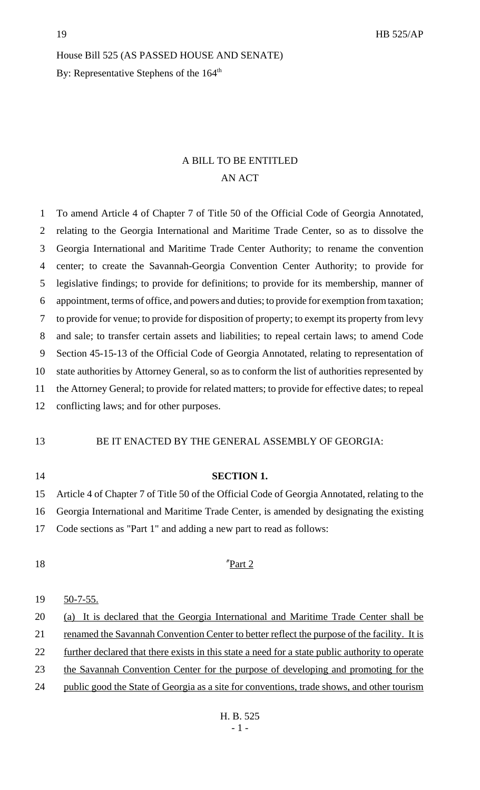# House Bill 525 (AS PASSED HOUSE AND SENATE) By: Representative Stephens of the 164<sup>th</sup>

## A BILL TO BE ENTITLED AN ACT

 To amend Article 4 of Chapter 7 of Title 50 of the Official Code of Georgia Annotated, relating to the Georgia International and Maritime Trade Center, so as to dissolve the Georgia International and Maritime Trade Center Authority; to rename the convention center; to create the Savannah-Georgia Convention Center Authority; to provide for legislative findings; to provide for definitions; to provide for its membership, manner of appointment, terms of office, and powers and duties; to provide for exemption from taxation; to provide for venue; to provide for disposition of property; to exempt its property from levy and sale; to transfer certain assets and liabilities; to repeal certain laws; to amend Code Section 45-15-13 of the Official Code of Georgia Annotated, relating to representation of state authorities by Attorney General, so as to conform the list of authorities represented by the Attorney General; to provide for related matters; to provide for effective dates; to repeal conflicting laws; and for other purposes.

13 BE IT ENACTED BY THE GENERAL ASSEMBLY OF GEORGIA:

 **SECTION 1.** Article 4 of Chapter 7 of Title 50 of the Official Code of Georgia Annotated, relating to the Georgia International and Maritime Trade Center, is amended by designating the existing Code sections as "Part 1" and adding a new part to read as follows:

#### 18 The Terms of Teams 2

#### 50-7-55.

- 20 (a) It is declared that the Georgia International and Maritime Trade Center shall be
- 21 renamed the Savannah Convention Center to better reflect the purpose of the facility. It is
- 22 further declared that there exists in this state a need for a state public authority to operate
- the Savannah Convention Center for the purpose of developing and promoting for the
- 24 public good the State of Georgia as a site for conventions, trade shows, and other tourism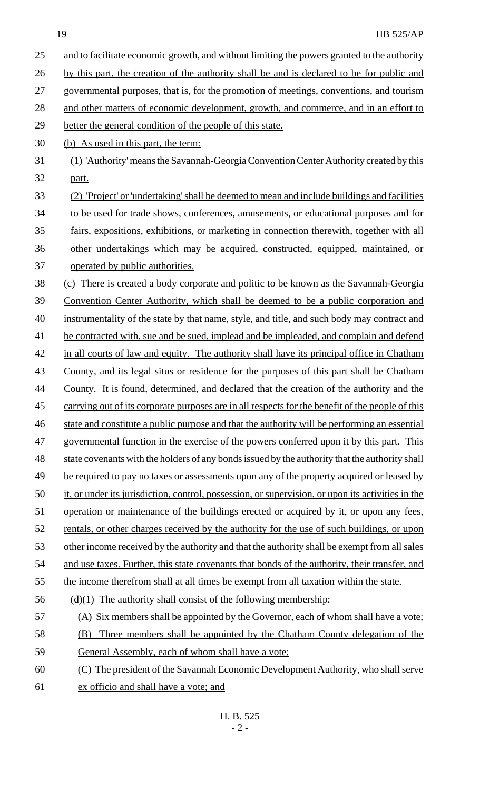25 and to facilitate economic growth, and without limiting the powers granted to the authority 26 by this part, the creation of the authority shall be and is declared to be for public and 27 governmental purposes, that is, for the promotion of meetings, conventions, and tourism 28 and other matters of economic development, growth, and commerce, and in an effort to 29 better the general condition of the people of this state. 30 (b) As used in this part, the term: 31 (1) 'Authority' means the Savannah-Georgia Convention Center Authority created by this 32 part. 33 (2) 'Project' or 'undertaking' shall be deemed to mean and include buildings and facilities 34 to be used for trade shows, conferences, amusements, or educational purposes and for 35 fairs, expositions, exhibitions, or marketing in connection therewith, together with all 36 other undertakings which may be acquired, constructed, equipped, maintained, or 37 operated by public authorities. 38 (c) There is created a body corporate and politic to be known as the Savannah-Georgia 39 Convention Center Authority, which shall be deemed to be a public corporation and 40 instrumentality of the state by that name, style, and title, and such body may contract and 41 be contracted with, sue and be sued, implead and be impleaded, and complain and defend 42 in all courts of law and equity. The authority shall have its principal office in Chatham 43 County, and its legal situs or residence for the purposes of this part shall be Chatham 44 County. It is found, determined, and declared that the creation of the authority and the 45 carrying out of its corporate purposes are in all respects for the benefit of the people of this 46 state and constitute a public purpose and that the authority will be performing an essential 47 governmental function in the exercise of the powers conferred upon it by this part. This 48 state covenants with the holders of any bonds issued by the authority that the authority shall 49 be required to pay no taxes or assessments upon any of the property acquired or leased by 50 it, or under its jurisdiction, control, possession, or supervision, or upon its activities in the 51 operation or maintenance of the buildings erected or acquired by it, or upon any fees, 52 rentals, or other charges received by the authority for the use of such buildings, or upon 53 other income received by the authority and that the authority shall be exempt from all sales 54 and use taxes. Further, this state covenants that bonds of the authority, their transfer, and 55 the income therefrom shall at all times be exempt from all taxation within the state.  $56$  (d)(1) The authority shall consist of the following membership: 57 (A) Six members shall be appointed by the Governor, each of whom shall have a vote; 58 (B) Three members shall be appointed by the Chatham County delegation of the 59 General Assembly, each of whom shall have a vote; 60 (C) The president of the Savannah Economic Development Authority, who shall serve 61 ex officio and shall have a vote; and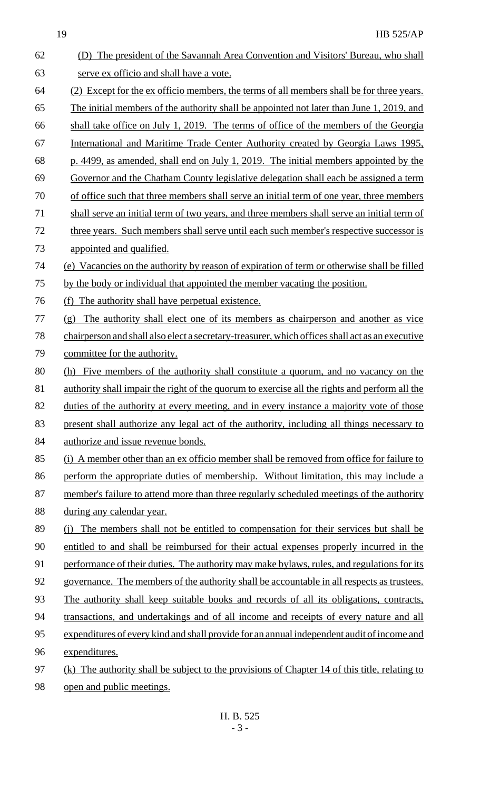| 62 | (D) The president of the Savannah Area Convention and Visitors' Bureau, who shall               |
|----|-------------------------------------------------------------------------------------------------|
| 63 | serve ex officio and shall have a vote.                                                         |
| 64 | (2) Except for the ex officio members, the terms of all members shall be for three years.       |
| 65 | The initial members of the authority shall be appointed not later than June 1, 2019, and        |
| 66 | shall take office on July 1, 2019. The terms of office of the members of the Georgia            |
| 67 | International and Maritime Trade Center Authority created by Georgia Laws 1995,                 |
| 68 | p. 4499, as amended, shall end on July 1, 2019. The initial members appointed by the            |
| 69 | Governor and the Chatham County legislative delegation shall each be assigned a term            |
| 70 | of office such that three members shall serve an initial term of one year, three members        |
| 71 | shall serve an initial term of two years, and three members shall serve an initial term of      |
| 72 | three years. Such members shall serve until each such member's respective successor is          |
| 73 | appointed and qualified.                                                                        |
| 74 | (e) Vacancies on the authority by reason of expiration of term or otherwise shall be filled     |
| 75 | by the body or individual that appointed the member vacating the position.                      |
| 76 | The authority shall have perpetual existence.<br>(f)                                            |
| 77 | (g) The authority shall elect one of its members as chairperson and another as vice             |
| 78 | chairperson and shall also elect a secretary-treasurer, which offices shall act as an executive |
| 79 | committee for the authority.                                                                    |
| 80 | Five members of the authority shall constitute a quorum, and no vacancy on the<br>(h)           |
| 81 | authority shall impair the right of the quorum to exercise all the rights and perform all the   |
| 82 | duties of the authority at every meeting, and in every instance a majority vote of those        |
| 83 | present shall authorize any legal act of the authority, including all things necessary to       |
| 84 | authorize and issue revenue bonds.                                                              |
| 85 | (i) A member other than an ex officio member shall be removed from office for failure to        |
| 86 | perform the appropriate duties of membership. Without limitation, this may include a            |
| 87 | member's failure to attend more than three regularly scheduled meetings of the authority        |
| 88 | during any calendar year.                                                                       |
| 89 | (i) The members shall not be entitled to compensation for their services but shall be           |
| 90 | entitled to and shall be reimbursed for their actual expenses properly incurred in the          |
| 91 | performance of their duties. The authority may make bylaws, rules, and regulations for its      |
| 92 | governance. The members of the authority shall be accountable in all respects as trustees.      |
| 93 | The authority shall keep suitable books and records of all its obligations, contracts,          |
| 94 | transactions, and undertakings and of all income and receipts of every nature and all           |
| 95 | expenditures of every kind and shall provide for an annual independent audit of income and      |
| 96 | expenditures.                                                                                   |
| 97 | (k) The authority shall be subject to the provisions of Chapter 14 of this title, relating to   |
| 98 | open and public meetings.                                                                       |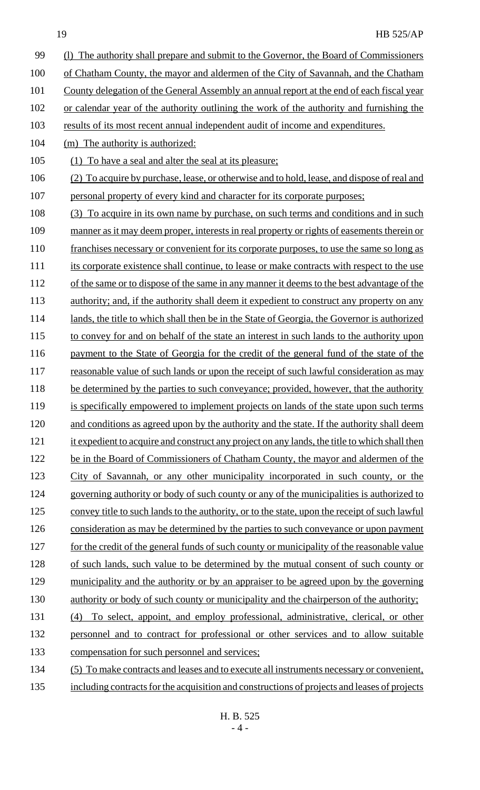- 99 (l) The authority shall prepare and submit to the Governor, the Board of Commissioners 100 of Chatham County, the mayor and aldermen of the City of Savannah, and the Chatham 101 County delegation of the General Assembly an annual report at the end of each fiscal year 102 or calendar year of the authority outlining the work of the authority and furnishing the 103 results of its most recent annual independent audit of income and expenditures. 104 (m) The authority is authorized: 105 (1) To have a seal and alter the seal at its pleasure; 106 (2) To acquire by purchase, lease, or otherwise and to hold, lease, and dispose of real and 107 personal property of every kind and character for its corporate purposes; 108 (3) To acquire in its own name by purchase, on such terms and conditions and in such 109 manner as it may deem proper, interests in real property or rights of easements therein or 110 franchises necessary or convenient for its corporate purposes, to use the same so long as 111 its corporate existence shall continue, to lease or make contracts with respect to the use 112 of the same or to dispose of the same in any manner it deems to the best advantage of the 113 authority; and, if the authority shall deem it expedient to construct any property on any 114 lands, the title to which shall then be in the State of Georgia, the Governor is authorized 115 to convey for and on behalf of the state an interest in such lands to the authority upon 116 payment to the State of Georgia for the credit of the general fund of the state of the 117 reasonable value of such lands or upon the receipt of such lawful consideration as may 118 be determined by the parties to such conveyance; provided, however, that the authority 119 is specifically empowered to implement projects on lands of the state upon such terms 120 and conditions as agreed upon by the authority and the state. If the authority shall deem 121 it expedient to acquire and construct any project on any lands, the title to which shall then 122 be in the Board of Commissioners of Chatham County, the mayor and aldermen of the 123 City of Savannah, or any other municipality incorporated in such county, or the 124 governing authority or body of such county or any of the municipalities is authorized to 125 convey title to such lands to the authority, or to the state, upon the receipt of such lawful 126 consideration as may be determined by the parties to such conveyance or upon payment 127 for the credit of the general funds of such county or municipality of the reasonable value 128 of such lands, such value to be determined by the mutual consent of such county or 129 municipality and the authority or by an appraiser to be agreed upon by the governing 130 authority or body of such county or municipality and the chairperson of the authority; 131 (4) To select, appoint, and employ professional, administrative, clerical, or other 132 personnel and to contract for professional or other services and to allow suitable 133 compensation for such personnel and services; 134 (5) To make contracts and leases and to execute all instruments necessary or convenient,
- 135 including contracts for the acquisition and constructions of projects and leases of projects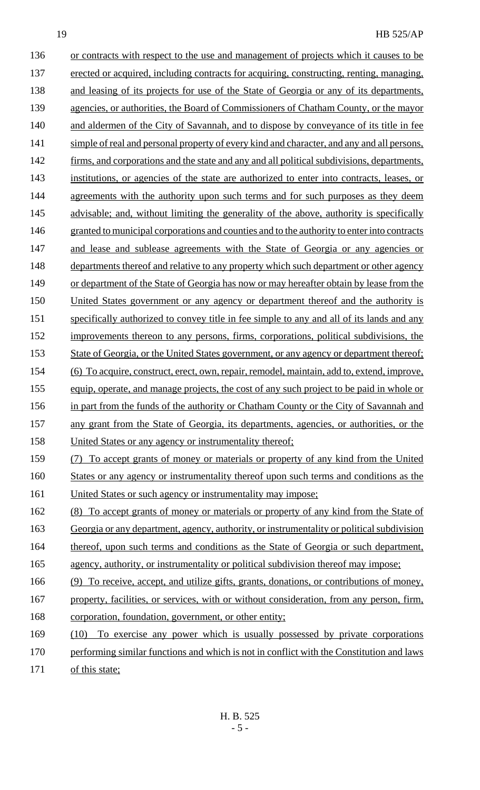136 or contracts with respect to the use and management of projects which it causes to be 137 erected or acquired, including contracts for acquiring, constructing, renting, managing, 138 and leasing of its projects for use of the State of Georgia or any of its departments, 139 agencies, or authorities, the Board of Commissioners of Chatham County, or the mayor 140 and aldermen of the City of Savannah, and to dispose by conveyance of its title in fee 141 simple of real and personal property of every kind and character, and any and all persons, 142 firms, and corporations and the state and any and all political subdivisions, departments, 143 institutions, or agencies of the state are authorized to enter into contracts, leases, or 144 agreements with the authority upon such terms and for such purposes as they deem 145 advisable; and, without limiting the generality of the above, authority is specifically 146 granted to municipal corporations and counties and to the authority to enter into contracts 147 and lease and sublease agreements with the State of Georgia or any agencies or 148 departments thereof and relative to any property which such department or other agency 149 or department of the State of Georgia has now or may hereafter obtain by lease from the 150 United States government or any agency or department thereof and the authority is 151 specifically authorized to convey title in fee simple to any and all of its lands and any 152 improvements thereon to any persons, firms, corporations, political subdivisions, the 153 State of Georgia, or the United States government, or any agency or department thereof; 154 (6) To acquire, construct, erect, own, repair, remodel, maintain, add to, extend, improve, 155 equip, operate, and manage projects, the cost of any such project to be paid in whole or 156 in part from the funds of the authority or Chatham County or the City of Savannah and 157 any grant from the State of Georgia, its departments, agencies, or authorities, or the 158 United States or any agency or instrumentality thereof; 159 (7) To accept grants of money or materials or property of any kind from the United 160 States or any agency or instrumentality thereof upon such terms and conditions as the 161 United States or such agency or instrumentality may impose; 162 (8) To accept grants of money or materials or property of any kind from the State of 163 Georgia or any department, agency, authority, or instrumentality or political subdivision 164 thereof, upon such terms and conditions as the State of Georgia or such department,

166 (9) To receive, accept, and utilize gifts, grants, donations, or contributions of money, 167 property, facilities, or services, with or without consideration, from any person, firm,

165 agency, authority, or instrumentality or political subdivision thereof may impose;

- 168 corporation, foundation, government, or other entity;
- 169 (10) To exercise any power which is usually possessed by private corporations 170 performing similar functions and which is not in conflict with the Constitution and laws 171 of this state;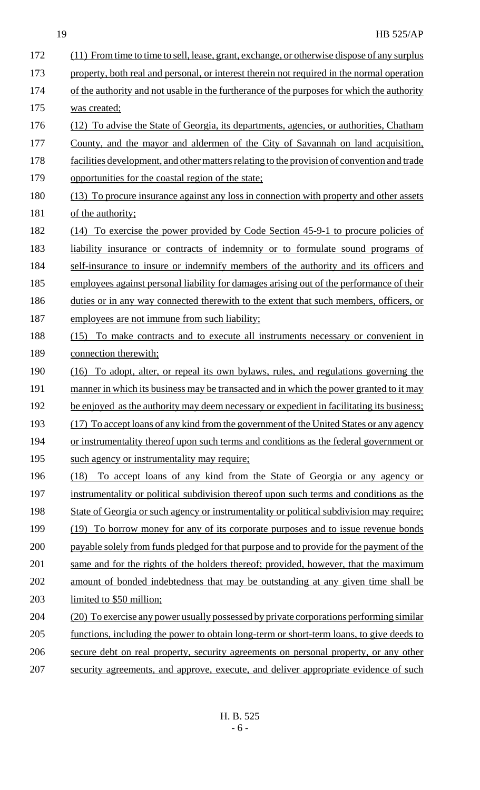| 172 | (11) From time to time to sell, lease, grant, exchange, or otherwise dispose of any surplus |  |  |  |  |
|-----|---------------------------------------------------------------------------------------------|--|--|--|--|
| 173 | property, both real and personal, or interest therein not required in the normal operation  |  |  |  |  |
| 174 | of the authority and not usable in the furtherance of the purposes for which the authority  |  |  |  |  |
| 175 | was created;                                                                                |  |  |  |  |
| 176 | (12) To advise the State of Georgia, its departments, agencies, or authorities, Chatham     |  |  |  |  |
| 177 | County, and the mayor and aldermen of the City of Savannah on land acquisition,             |  |  |  |  |
| 178 | facilities development, and other matters relating to the provision of convention and trade |  |  |  |  |
| 179 | opportunities for the coastal region of the state;                                          |  |  |  |  |
| 180 | (13) To procure insurance against any loss in connection with property and other assets     |  |  |  |  |
| 181 | of the authority;                                                                           |  |  |  |  |
| 182 | <u>To exercise the power provided by Code Section 45-9-1 to procure policies of</u><br>(14) |  |  |  |  |
| 183 | <u>liability</u> insurance or contracts of indemnity or to formulate sound programs of      |  |  |  |  |
| 184 | self-insurance to insure or indemnify members of the authority and its officers and         |  |  |  |  |
| 185 | employees against personal liability for damages arising out of the performance of their    |  |  |  |  |
| 186 | duties or in any way connected therewith to the extent that such members, officers, or      |  |  |  |  |
| 187 | employees are not immune from such liability;                                               |  |  |  |  |
| 188 | (15) To make contracts and to execute all instruments necessary or convenient in            |  |  |  |  |
| 189 | connection therewith;                                                                       |  |  |  |  |
| 190 | (16) To adopt, alter, or repeal its own bylaws, rules, and regulations governing the        |  |  |  |  |
| 191 | manner in which its business may be transacted and in which the power granted to it may     |  |  |  |  |
| 192 | be enjoyed as the authority may deem necessary or expedient in facilitating its business;   |  |  |  |  |
| 193 | (17) To accept loans of any kind from the government of the United States or any agency     |  |  |  |  |
| 194 | or instrumentality thereof upon such terms and conditions as the federal government or      |  |  |  |  |
| 195 | such agency or instrumentality may require;                                                 |  |  |  |  |
| 196 | To accept loans of any kind from the State of Georgia or any agency or<br>(18)              |  |  |  |  |
| 197 | instrumentality or political subdivision thereof upon such terms and conditions as the      |  |  |  |  |
| 198 | State of Georgia or such agency or instrumentality or political subdivision may require;    |  |  |  |  |
| 199 | (19) To borrow money for any of its corporate purposes and to issue revenue bonds           |  |  |  |  |
| 200 | payable solely from funds pledged for that purpose and to provide for the payment of the    |  |  |  |  |
| 201 | same and for the rights of the holders thereof; provided, however, that the maximum         |  |  |  |  |
| 202 | amount of bonded indebtedness that may be outstanding at any given time shall be            |  |  |  |  |
| 203 | limited to \$50 million;                                                                    |  |  |  |  |
| 204 | (20) To exercise any power usually possessed by private corporations performing similar     |  |  |  |  |
| 205 | functions, including the power to obtain long-term or short-term loans, to give deeds to    |  |  |  |  |
| 206 | secure debt on real property, security agreements on personal property, or any other        |  |  |  |  |
|     |                                                                                             |  |  |  |  |

207 security agreements, and approve, execute, and deliver appropriate evidence of such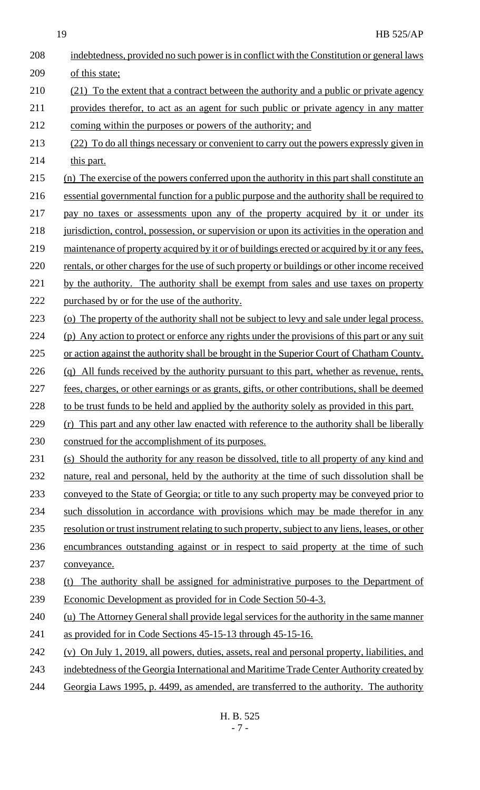| 208 | indebtedness, provided no such power is in conflict with the Constitution or general laws        |
|-----|--------------------------------------------------------------------------------------------------|
| 209 | of this state;                                                                                   |
| 210 | (21) To the extent that a contract between the authority and a public or private agency          |
| 211 | provides therefor, to act as an agent for such public or private agency in any matter            |
| 212 | coming within the purposes or powers of the authority; and                                       |
| 213 | (22) To do all things necessary or convenient to carry out the powers expressly given in         |
| 214 | this part.                                                                                       |
| 215 | (n) The exercise of the powers conferred upon the authority in this part shall constitute an     |
| 216 | essential governmental function for a public purpose and the authority shall be required to      |
| 217 | pay no taxes or assessments upon any of the property acquired by it or under its                 |
| 218 | jurisdiction, control, possession, or supervision or upon its activities in the operation and    |
| 219 | maintenance of property acquired by it or of buildings erected or acquired by it or any fees.    |
| 220 | rentals, or other charges for the use of such property or buildings or other income received     |
| 221 | by the authority. The authority shall be exempt from sales and use taxes on property             |
| 222 | purchased by or for the use of the authority.                                                    |
| 223 | (o) The property of the authority shall not be subject to levy and sale under legal process.     |
| 224 | (p) Any action to protect or enforce any rights under the provisions of this part or any suit    |
| 225 | or action against the authority shall be brought in the Superior Court of Chatham County.        |
| 226 | (q) All funds received by the authority pursuant to this part, whether as revenue, rents,        |
| 227 | fees, charges, or other earnings or as grants, gifts, or other contributions, shall be deemed    |
| 228 | to be trust funds to be held and applied by the authority solely as provided in this part.       |
| 229 | (r) This part and any other law enacted with reference to the authority shall be liberally       |
| 230 | construed for the accomplishment of its purposes.                                                |
| 231 | (s) Should the authority for any reason be dissolved, title to all property of any kind and      |
| 232 | nature, real and personal, held by the authority at the time of such dissolution shall be        |
| 233 | conveyed to the State of Georgia; or title to any such property may be conveyed prior to         |
| 234 | such dissolution in accordance with provisions which may be made therefor in any                 |
| 235 | resolution or trust instrument relating to such property, subject to any liens, leases, or other |
| 236 | encumbrances outstanding against or in respect to said property at the time of such              |
| 237 | conveyance.                                                                                      |
| 238 | (t) The authority shall be assigned for administrative purposes to the Department of             |
| 239 | Economic Development as provided for in Code Section 50-4-3.                                     |
| 240 | (u) The Attorney General shall provide legal services for the authority in the same manner       |
| 241 | as provided for in Code Sections 45-15-13 through 45-15-16.                                      |
| 242 | (v) On July 1, 2019, all powers, duties, assets, real and personal property, liabilities, and    |
| 243 | indebtedness of the Georgia International and Maritime Trade Center Authority created by         |
| 244 | Georgia Laws 1995, p. 4499, as amended, are transferred to the authority. The authority          |